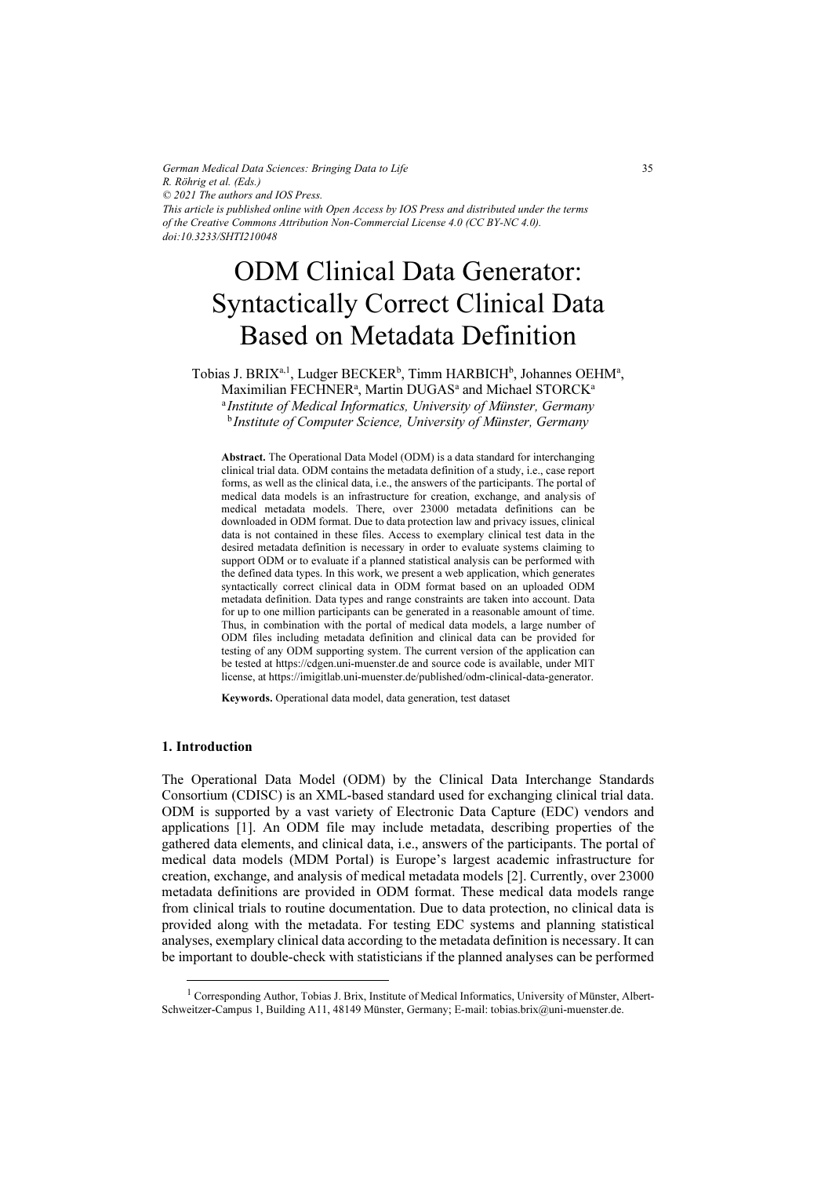*German Medical Data Sciences: Bringing Data to Life R. Röhrig et al. (Eds.) © 2021 The authors and IOS Press. This article is published online with Open Access by IOS Press and distributed under the terms of the Creative Commons Attribution Non-Commercial License 4.0 (CC BY-NC 4.0). doi:10.3233/SHTI210048*

# ODM Clinical Data Generator: Syntactically Correct Clinical Data Based on Metadata Definition

Tobias J. BRIX<sup>a, 1</sup>, Ludger BECKER<sup>b</sup>, Timm HARBICH<sup>b</sup>, Johannes OEHM<sup>a</sup>, Maximilian FECHNER<sup>a</sup>, Martin DUGAS<sup>a</sup> and Michael STORCK<sup>a</sup> <sup>a</sup> Institute of Medical Informatics, University of Münster, Germany <sup>b</sup> Institute of Computer Science, University of Münster, Germany

Abstract. The Operational Data Model (ODM) is a data standard for interchanging clinical trial data. ODM contains the metadata definition of a study, i.e., case report forms, as well as the clinical data, i.e., the answers of the participants. The portal of medical data models is an infrastructure for creation, exchange, and analysis of medical metadata models. There, over 23000 metadata definitions can be downloaded in ODM format. Due to data protection law and privacy issues, clinical data is not contained in these files. Access to exemplary clinical test data in the desired metadata definition is necessary in order to evaluate systems claiming to support ODM or to evaluate if a planned statistical analysis can be performed with the defined data types. In this work, we present a web application, which generates syntactically correct clinical data in ODM format based on an uploaded ODM metadata definition. Data types and range constraints are taken into account. Data for up to one million participants can be generated in a reasonable amount of time. Thus, in combination with the portal of medical data models, a large number of ODM files including metadata definition and clinical data can be provided for testing of any ODM supporting system. The current version of the application can be tested at https://cdgen.uni-muenster.de and source code is available, under MIT license, at https://imigitlab.uni-muenster.de/published/odm-clinical-data-generator.

Keywords. Operational data model, data generation, test dataset

## 1. Introduction

The Operational Data Model (ODM) by the Clinical Data Interchange Standards Consortium (CDISC) is an XML-based standard used for exchanging clinical trial data. ODM is supported by a vast variety of Electronic Data Capture (EDC) vendors and applications [1]. An ODM file may include metadata, describing properties of the gathered data elements, and clinical data, i.e., answers of the participants. The portal of medical data models (MDM Portal) is Europe's largest academic infrastructure for creation, exchange, and analysis of medical metadata models [2]. Currently, over 23000 metadata definitions are provided in ODM format. These medical data models range from clinical trials to routine documentation. Due to data protection, no clinical data is provided along with the metadata. For testing EDC systems and planning statistical analyses, exemplary clinical data according to the metadata definition is necessary. It can be important to double-check with statisticians if the planned analyses can be performed

<sup>&</sup>lt;sup>1</sup> Corresponding Author, Tobias J. Brix, Institute of Medical Informatics, University of Münster, Albert-Schweitzer-Campus 1, Building A11, 48149 Münster, Germany; E-mail: tobias.brix@uni-muenster.de.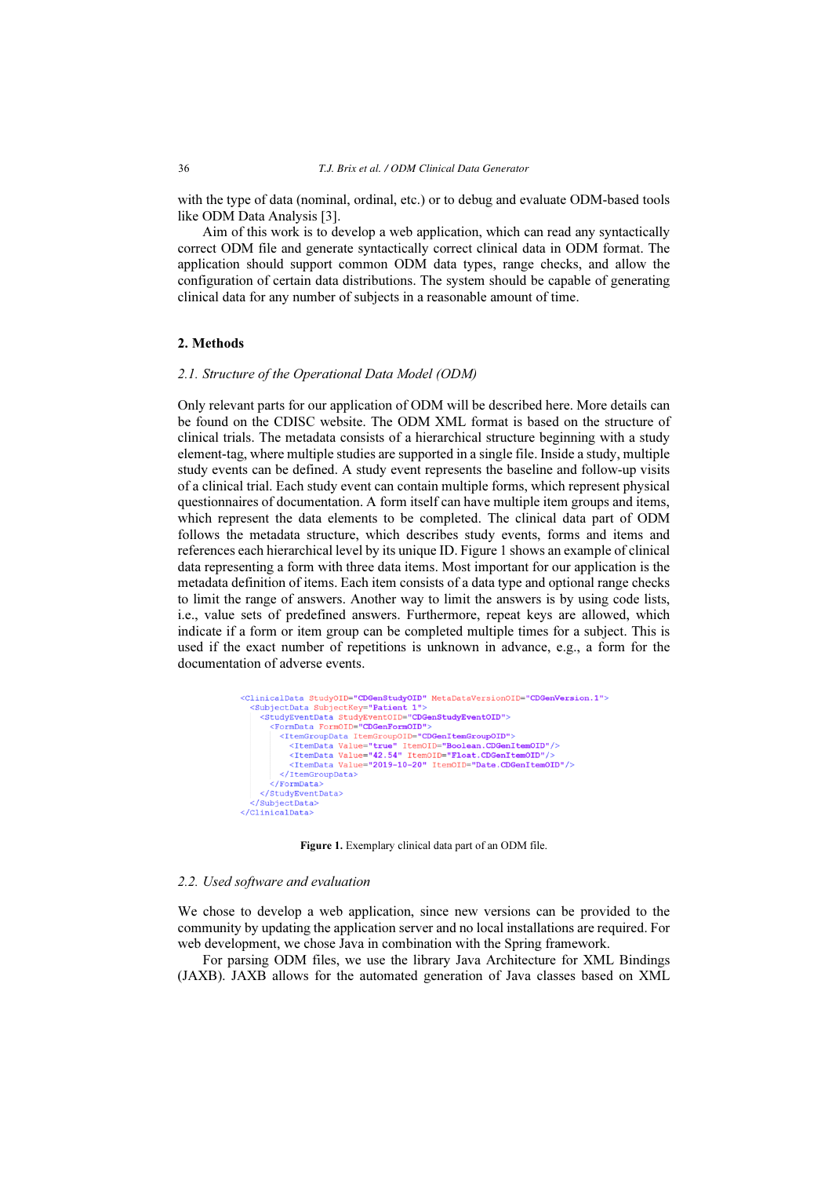with the type of data (nominal, ordinal, etc.) or to debug and evaluate ODM-based tools like ODM Data Analysis [3].

Aim of this work is to develop a web application, which can read any syntactically correct ODM file and generate syntactically correct clinical data in ODM format. The application should support common ODM data types, range checks, and allow the configuration of certain data distributions. The system should be capable of generating clinical data for any number of subjects in a reasonable amount of time.

## 2. Methods

#### 2.1. Structure of the Operational Data Model (ODM)

Only relevant parts for our application of ODM will be described here. More details can be found on the CDISC website. The ODM XML format is based on the structure of clinical trials. The metadata consists of a hierarchical structure beginning with a study element-tag, where multiple studies are supported in a single file. Inside a study, multiple study events can be defined. A study event represents the baseline and follow-up visits of a clinical trial. Each study event can contain multiple forms, which represent physical questionnaires of documentation. A form itself can have multiple item groups and items, which represent the data elements to be completed. The clinical data part of ODM follows the metadata structure, which describes study events, forms and items and references each hierarchical level by its unique ID. Figure 1 shows an example of clinical data representing a form with three data items. Most important for our application is the metadata definition of items. Each item consists of a data type and optional range checks to limit the range of answers. Another way to limit the answers is by using code lists, i.e., value sets of predefined answers. Furthermore, repeat keys are allowed, which indicate if a form or item group can be completed multiple times for a subject. This is used if the exact number of repetitions is unknown in advance, e.g., a form for the documentation of adverse events.

```
<ClinicalData StudyOID="CDGenStudyOID" MetaDataVersionOID="CDGenVersion.1">
  <SubjectData SubjectKey="Patient 1">
     <StudyEventData StudyEventOID="CDGenStudyEventOID">
       <FormData FormOID="CDGenFormOID">
          <ItemGroupData ItemGroupOID="CDGenItemGroupOID">
            \label{lem:1} \begin{array}{ll} \mbox{XItemData Value="true" ItemOLD="Boolean.CDGenItemOLD" />\\ \mbox{XItemData Value="42.54" ItemOLD="float.CDGenItemOD" />\\ \end{array}<ItemData Value="2019-10-20" ItemOID="Date.CDGenItemOID"/>
         </ItemGroupData>
        </FormData>
     </StudyEventData>
  </SubjectData>
</ClinicalData>
```
Figure 1. Exemplary clinical data part of an ODM file.

#### 2.2. Used software and evaluation

We chose to develop a web application, since new versions can be provided to the community by updating the application server and no local installations are required. For web development, we chose Java in combination with the Spring framework.

For parsing ODM files, we use the library Java Architecture for XML Bindings (JAXB). JAXB allows for the automated generation of Java classes based on XML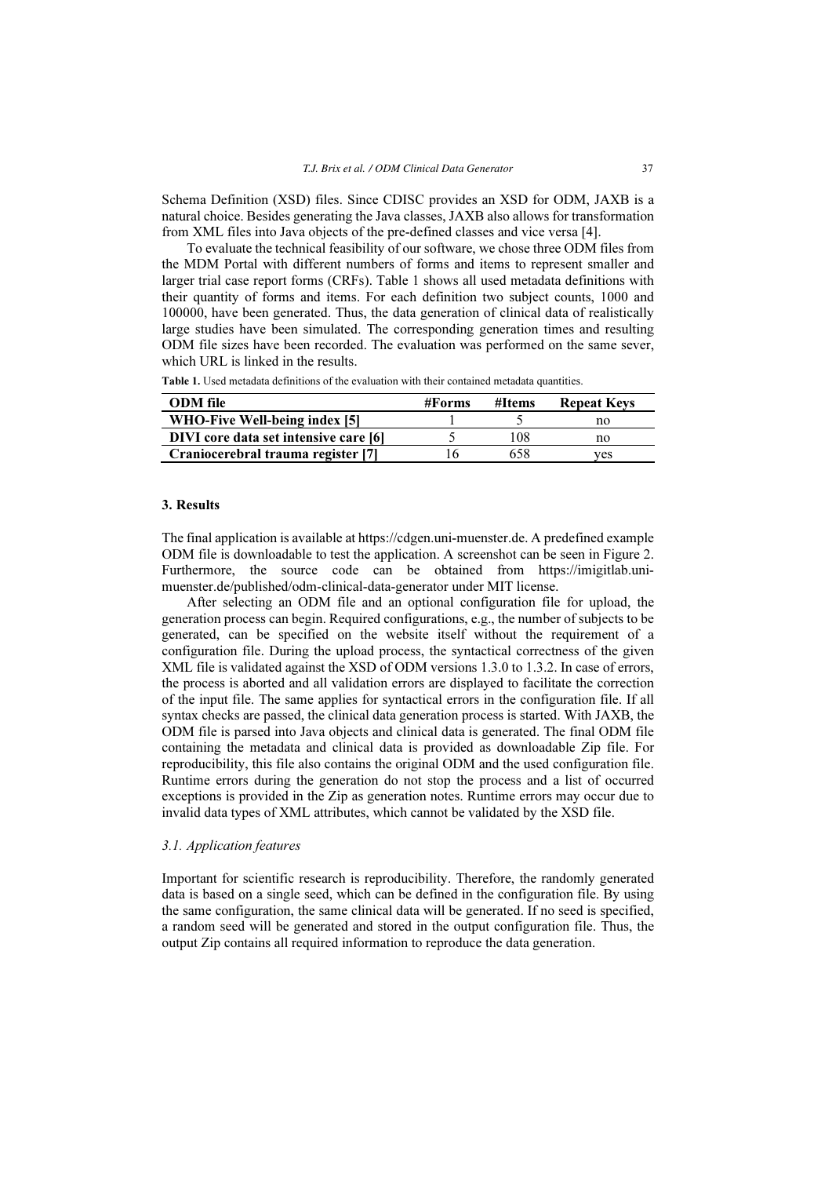Schema Definition (XSD) files. Since CDISC provides an XSD for ODM, JAXB is a natural choice. Besides generating the Java classes, JAXB also allows for transformation from XML files into Java objects of the pre-defined classes and vice versa [4].

To evaluate the technical feasibility of our software, we chose three ODM files from the MDM Portal with different numbers of forms and items to represent smaller and larger trial case report forms (CRFs). Table 1 shows all used metadata definitions with their quantity of forms and items. For each definition two subject counts, 1000 and 100000, have been generated. Thus, the data generation of clinical data of realistically large studies have been simulated. The corresponding generation times and resulting ODM file sizes have been recorded. The evaluation was performed on the same sever, which URL is linked in the results.

| <b>ODM</b> file                       | #Forms | #Items | <b>Repeat Keys</b> |
|---------------------------------------|--------|--------|--------------------|
| WHO-Five Well-being index [5]         |        |        | no                 |
| DIVI core data set intensive care [6] |        | 108    | no                 |
| Craniocerebral trauma register [7]    | . Ի    | 658    | ves                |

Table 1. Used metadata definitions of the evaluation with their contained metadata quantities.

## 3. Results

The final application is available at https://cdgen.uni-muenster.de. A predefined example ODM file is downloadable to test the application. A screenshot can be seen in Figure 2. Furthermore, the source code can be obtained from https://imigitlab.unimuenster.de/published/odm-clinical-data-generator under MIT license.

After selecting an ODM file and an optional configuration file for upload, the generation process can begin. Required configurations, e.g., the number of subjects to be generated, can be specified on the website itself without the requirement of a configuration file. During the upload process, the syntactical correctness of the given XML file is validated against the XSD of ODM versions 1.3.0 to 1.3.2. In case of errors, the process is aborted and all validation errors are displayed to facilitate the correction of the input file. The same applies for syntactical errors in the configuration file. If all syntax checks are passed, the clinical data generation process is started. With JAXB, the ODM file is parsed into Java objects and clinical data is generated. The final ODM file containing the metadata and clinical data is provided as downloadable Zip file. For reproducibility, this file also contains the original ODM and the used configuration file. Runtime errors during the generation do not stop the process and a list of occurred exceptions is provided in the Zip as generation notes. Runtime errors may occur due to invalid data types of XML attributes, which cannot be validated by the XSD file.

#### 3.1. Application features

Important for scientific research is reproducibility. Therefore, the randomly generated data is based on a single seed, which can be defined in the configuration file. By using the same configuration, the same clinical data will be generated. If no seed is specified, a random seed will be generated and stored in the output configuration file. Thus, the output Zip contains all required information to reproduce the data generation.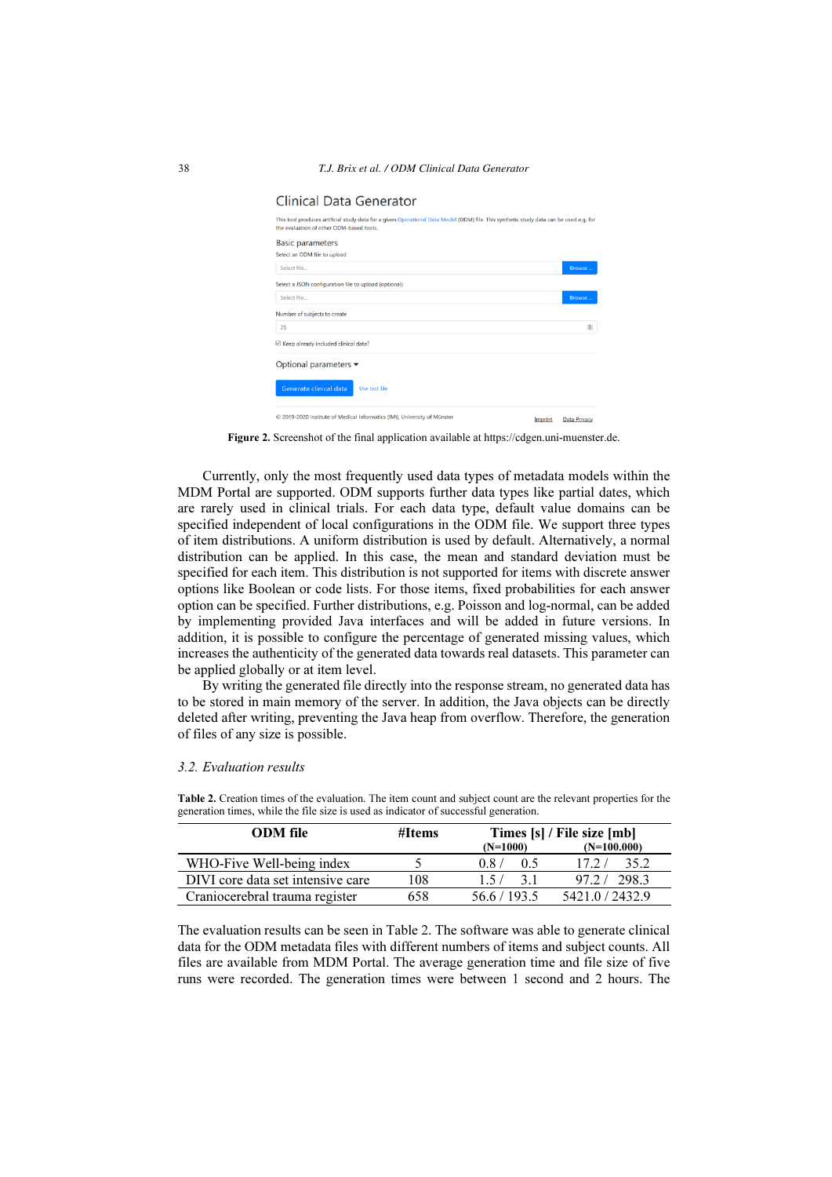| This tool produces artificial study data for a given Operational Data Model (ODM) file. This synthetic study data can be used e.g. for<br>the evaluation of other ODM-based tools. |               |        |  |  |  |
|------------------------------------------------------------------------------------------------------------------------------------------------------------------------------------|---------------|--------|--|--|--|
| <b>Basic parameters</b>                                                                                                                                                            |               |        |  |  |  |
| Select an ODM file to upload                                                                                                                                                       |               |        |  |  |  |
| Select file                                                                                                                                                                        |               | Browse |  |  |  |
| Select a JSON configuration file to upload (optional)                                                                                                                              |               |        |  |  |  |
| Select file                                                                                                                                                                        |               | Browse |  |  |  |
| Number of subjects to create                                                                                                                                                       |               |        |  |  |  |
| 25                                                                                                                                                                                 |               |        |  |  |  |
| $\boxtimes$ Keep already included clinical data?                                                                                                                                   |               |        |  |  |  |
| Optional parameters $\blacktriangleright$                                                                                                                                          |               |        |  |  |  |
|                                                                                                                                                                                    |               |        |  |  |  |
| Generate clinical data                                                                                                                                                             | Use test file |        |  |  |  |

Figure 2. Screenshot of the final application available at https://cdgen.uni-muenster.de.

Currently, only the most frequently used data types of metadata models within the MDM Portal are supported. ODM supports further data types like partial dates, which are rarely used in clinical trials. For each data type, default value domains can be specified independent of local configurations in the ODM file. We support three types of item distributions. A uniform distribution is used by default. Alternatively, a normal distribution can be applied. In this case, the mean and standard deviation must be specified for each item. This distribution is not supported for items with discrete answer options like Boolean or code lists. For those items, fixed probabilities for each answer option can be specified. Further distributions, e.g. Poisson and log-normal, can be added by implementing provided Java interfaces and will be added in future versions. In addition, it is possible to configure the percentage of generated missing values, which increases the authenticity of the generated data towards real datasets. This parameter can be applied globally or at item level.

By writing the generated file directly into the response stream, no generated data has to be stored in main memory of the server. In addition, the Java objects can be directly deleted after writing, preventing the Java heap from overflow. Therefore, the generation of files of any size is possible.

#### 3.2. Evaluation results

| <b>Table 2.</b> Creation times of the evaluation. The item count and subject count are the relevant properties for the<br>generation times, while the file size is used as indicator of successful generation. |        |                            |  |  |  |  |
|----------------------------------------------------------------------------------------------------------------------------------------------------------------------------------------------------------------|--------|----------------------------|--|--|--|--|
| <b>ODM</b> file                                                                                                                                                                                                | #Items | Times [s] / File size [mb] |  |  |  |  |

| <i>UDILI</i> IIV                  | $1 \text{ m}$ |              |               |
|-----------------------------------|---------------|--------------|---------------|
|                                   |               | $(N=1000)$   | $(N=100.000)$ |
| WHO-Five Well-being index         |               | 0.87<br>0.5  | 172/<br>35.2  |
| DIVI core data set intensive care | 108           | -31<br>15/   | 97.2/298.3    |
| Craniocerebral trauma register    | 658           | 56.6 / 193.5 | 5421.0/2432.9 |
|                                   |               |              |               |

The evaluation results can be seen in Table 2. The software was able to generate clinical data for the ODM metadata files with different numbers of items and subject counts. All files are available from MDM Portal. The average generation time and file size of five runs were recorded. The generation times were between 1 second and 2 hours. The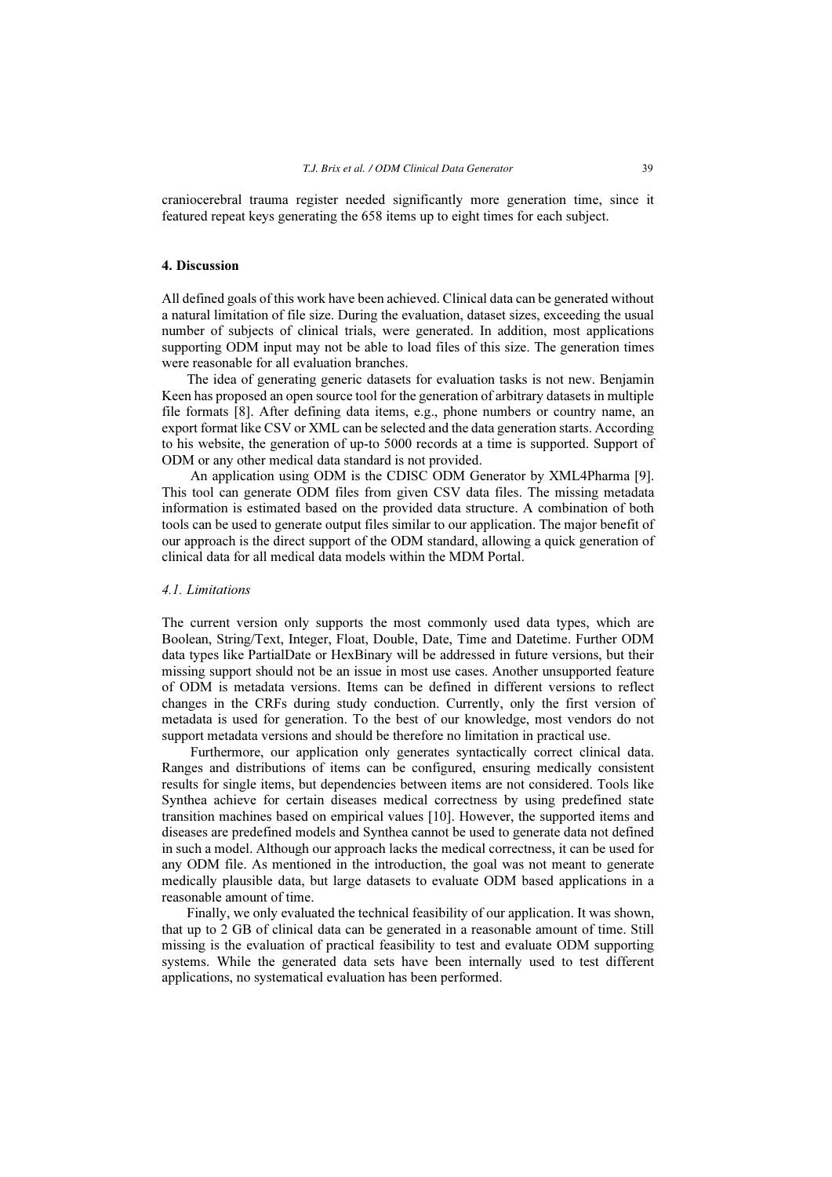craniocerebral trauma register needed significantly more generation time, since it featured repeat keys generating the 658 items up to eight times for each subject.

## 4. Discussion

All defined goals of this work have been achieved. Clinical data can be generated without a natural limitation of file size. During the evaluation, dataset sizes, exceeding the usual number of subjects of clinical trials, were generated. In addition, most applications supporting ODM input may not be able to load files of this size. The generation times were reasonable for all evaluation branches.

The idea of generating generic datasets for evaluation tasks is not new. Benjamin Keen has proposed an open source tool for the generation of arbitrary datasets in multiple file formats [8]. After defining data items, e.g., phone numbers or country name, an export format like CSV or XML can be selected and the data generation starts. According to his website, the generation of up-to 5000 records at a time is supported. Support of ODM or any other medical data standard is not provided.

 An application using ODM is the CDISC ODM Generator by XML4Pharma [9]. This tool can generate ODM files from given CSV data files. The missing metadata information is estimated based on the provided data structure. A combination of both tools can be used to generate output files similar to our application. The major benefit of our approach is the direct support of the ODM standard, allowing a quick generation of clinical data for all medical data models within the MDM Portal.

## 4.1. Limitations

The current version only supports the most commonly used data types, which are Boolean, String/Text, Integer, Float, Double, Date, Time and Datetime. Further ODM data types like PartialDate or HexBinary will be addressed in future versions, but their missing support should not be an issue in most use cases. Another unsupported feature of ODM is metadata versions. Items can be defined in different versions to reflect changes in the CRFs during study conduction. Currently, only the first version of metadata is used for generation. To the best of our knowledge, most vendors do not support metadata versions and should be therefore no limitation in practical use.

 Furthermore, our application only generates syntactically correct clinical data. Ranges and distributions of items can be configured, ensuring medically consistent results for single items, but dependencies between items are not considered. Tools like Synthea achieve for certain diseases medical correctness by using predefined state transition machines based on empirical values [10]. However, the supported items and diseases are predefined models and Synthea cannot be used to generate data not defined in such a model. Although our approach lacks the medical correctness, it can be used for any ODM file. As mentioned in the introduction, the goal was not meant to generate medically plausible data, but large datasets to evaluate ODM based applications in a reasonable amount of time.

Finally, we only evaluated the technical feasibility of our application. It was shown, that up to 2 GB of clinical data can be generated in a reasonable amount of time. Still missing is the evaluation of practical feasibility to test and evaluate ODM supporting systems. While the generated data sets have been internally used to test different applications, no systematical evaluation has been performed.